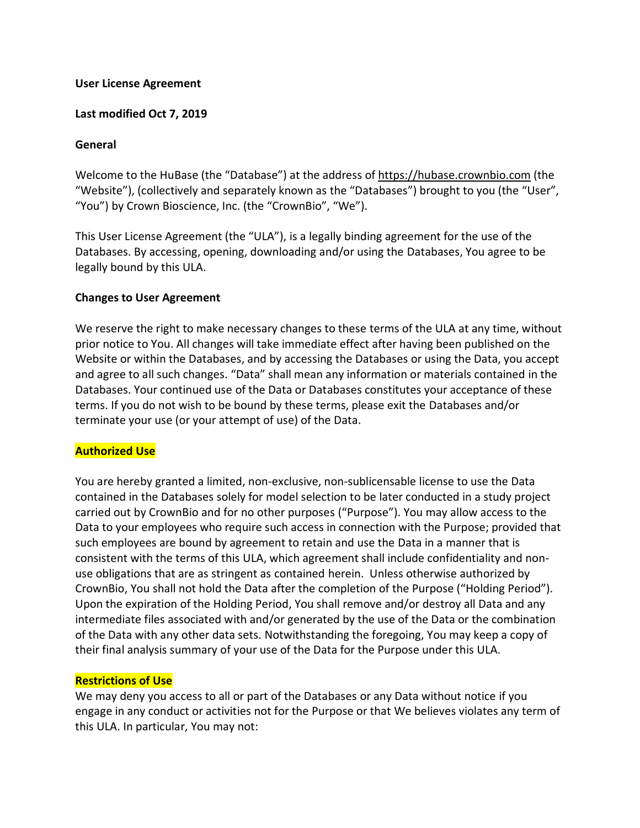#### **User License Agreement**

#### **Last modified Oct 7, 2019**

#### **General**

Welcome to the HuBase (the "Database") at the address of https://hubase.crownbio.com (the "Website"), (collectively and separately known as the "Databases") brought to you (the "User", "You") by Crown Bioscience, Inc. (the "CrownBio", "We").

This User License Agreement (the "ULA"), is a legally binding agreement for the use of the Databases. By accessing, opening, downloading and/or using the Databases, You agree to be legally bound by this ULA.

#### **Changes to User Agreement**

We reserve the right to make necessary changes to these terms of the ULA at any time, without prior notice to You. All changes will take immediate effect after having been published on the Website or within the Databases, and by accessing the Databases or using the Data, you accept and agree to all such changes. "Data" shall mean any information or materials contained in the Databases. Your continued use of the Data or Databases constitutes your acceptance of these terms. If you do not wish to be bound by these terms, please exit the Databases and/or terminate your use (or your attempt of use) of the Data.

### **Authorized Use**

You are hereby granted a limited, non-exclusive, non-sublicensable license to use the Data contained in the Databases solely for model selection to be later conducted in a study project carried out by CrownBio and for no other purposes ("Purpose"). You may allow access to the Data to your employees who require such access in connection with the Purpose; provided that such employees are bound by agreement to retain and use the Data in a manner that is consistent with the terms of this ULA, which agreement shall include confidentiality and nonuse obligations that are as stringent as contained herein. Unless otherwise authorized by CrownBio, You shall not hold the Data after the completion of the Purpose ("Holding Period"). Upon the expiration of the Holding Period, You shall remove and/or destroy all Data and any intermediate files associated with and/or generated by the use of the Data or the combination of the Data with any other data sets. Notwithstanding the foregoing, You may keep a copy of their final analysis summary of your use of the Data for the Purpose under this ULA.

#### **Restrictions of Use**

We may deny you access to all or part of the Databases or any Data without notice if you engage in any conduct or activities not for the Purpose or that We believes violates any term of this ULA. In particular, You may not: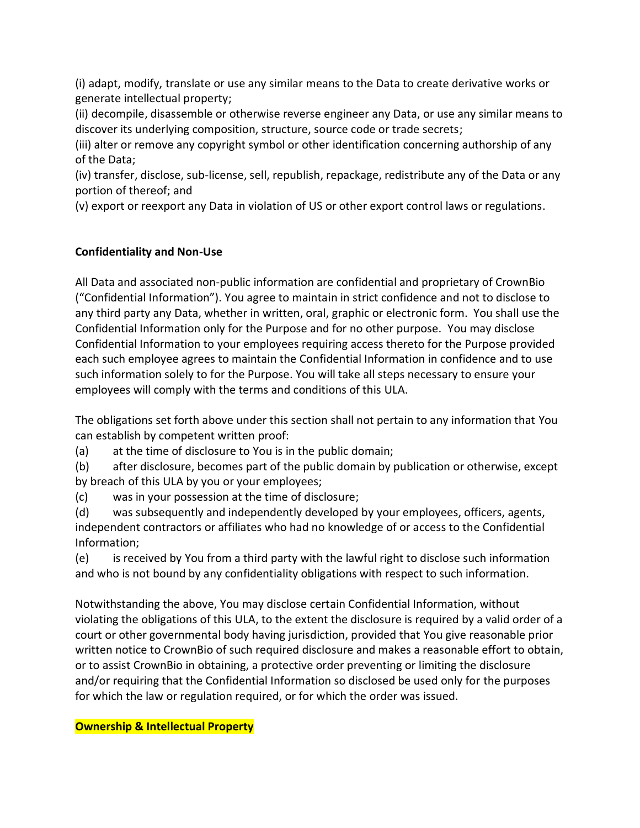(i) adapt, modify, translate or use any similar means to the Data to create derivative works or generate intellectual property;

(ii) decompile, disassemble or otherwise reverse engineer any Data, or use any similar means to discover its underlying composition, structure, source code or trade secrets;

(iii) alter or remove any copyright symbol or other identification concerning authorship of any of the Data;

(iv) transfer, disclose, sub-license, sell, republish, repackage, redistribute any of the Data or any portion of thereof; and

(v) export or reexport any Data in violation of US or other export control laws or regulations.

# **Confidentiality and Non-Use**

All Data and associated non-public information are confidential and proprietary of CrownBio ("Confidential Information"). You agree to maintain in strict confidence and not to disclose to any third party any Data, whether in written, oral, graphic or electronic form. You shall use the Confidential Information only for the Purpose and for no other purpose. You may disclose Confidential Information to your employees requiring access thereto for the Purpose provided each such employee agrees to maintain the Confidential Information in confidence and to use such information solely to for the Purpose. You will take all steps necessary to ensure your employees will comply with the terms and conditions of this ULA.

The obligations set forth above under this section shall not pertain to any information that You can establish by competent written proof:

(a) at the time of disclosure to You is in the public domain;

(b) after disclosure, becomes part of the public domain by publication or otherwise, except by breach of this ULA by you or your employees;

(c) was in your possession at the time of disclosure;

(d) was subsequently and independently developed by your employees, officers, agents, independent contractors or affiliates who had no knowledge of or access to the Confidential Information;

(e) is received by You from a third party with the lawful right to disclose such information and who is not bound by any confidentiality obligations with respect to such information.

Notwithstanding the above, You may disclose certain Confidential Information, without violating the obligations of this ULA, to the extent the disclosure is required by a valid order of a court or other governmental body having jurisdiction, provided that You give reasonable prior written notice to CrownBio of such required disclosure and makes a reasonable effort to obtain, or to assist CrownBio in obtaining, a protective order preventing or limiting the disclosure and/or requiring that the Confidential Information so disclosed be used only for the purposes for which the law or regulation required, or for which the order was issued.

**Ownership & Intellectual Property**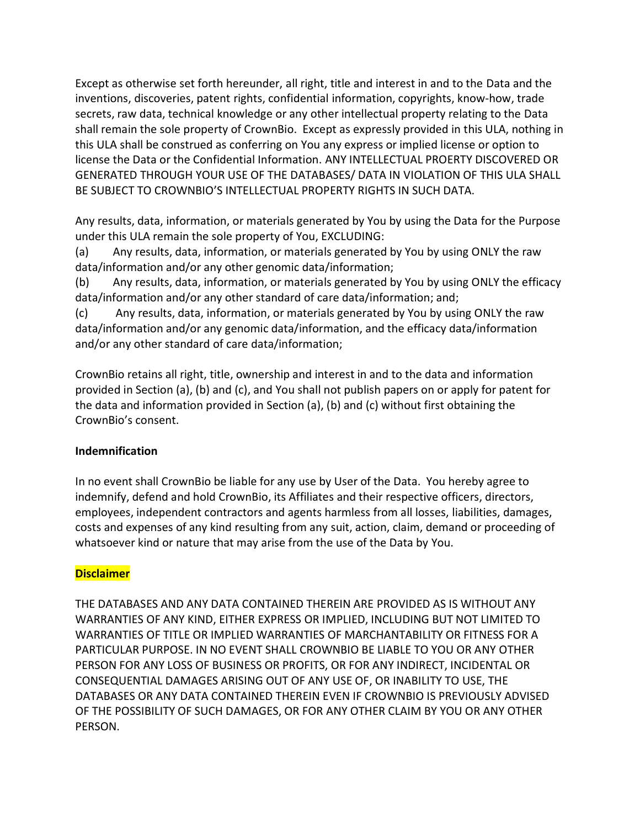Except as otherwise set forth hereunder, all right, title and interest in and to the Data and the inventions, discoveries, patent rights, confidential information, copyrights, know-how, trade secrets, raw data, technical knowledge or any other intellectual property relating to the Data shall remain the sole property of CrownBio. Except as expressly provided in this ULA, nothing in this ULA shall be construed as conferring on You any express or implied license or option to license the Data or the Confidential Information. ANY INTELLECTUAL PROERTY DISCOVERED OR GENERATED THROUGH YOUR USE OF THE DATABASES/ DATA IN VIOLATION OF THIS ULA SHALL BE SUBJECT TO CROWNBIO'S INTELLECTUAL PROPERTY RIGHTS IN SUCH DATA.

Any results, data, information, or materials generated by You by using the Data for the Purpose under this ULA remain the sole property of You, EXCLUDING:

(a) Any results, data, information, or materials generated by You by using ONLY the raw data/information and/or any other genomic data/information;

(b) Any results, data, information, or materials generated by You by using ONLY the efficacy data/information and/or any other standard of care data/information; and;

(c) Any results, data, information, or materials generated by You by using ONLY the raw data/information and/or any genomic data/information, and the efficacy data/information and/or any other standard of care data/information;

CrownBio retains all right, title, ownership and interest in and to the data and information provided in Section (a), (b) and (c), and You shall not publish papers on or apply for patent for the data and information provided in Section (a), (b) and (c) without first obtaining the CrownBio's consent.

# **Indemnification**

In no event shall CrownBio be liable for any use by User of the Data. You hereby agree to indemnify, defend and hold CrownBio, its Affiliates and their respective officers, directors, employees, independent contractors and agents harmless from all losses, liabilities, damages, costs and expenses of any kind resulting from any suit, action, claim, demand or proceeding of whatsoever kind or nature that may arise from the use of the Data by You.

# **Disclaimer**

THE DATABASES AND ANY DATA CONTAINED THEREIN ARE PROVIDED AS IS WITHOUT ANY WARRANTIES OF ANY KIND, EITHER EXPRESS OR IMPLIED, INCLUDING BUT NOT LIMITED TO WARRANTIES OF TITLE OR IMPLIED WARRANTIES OF MARCHANTABILITY OR FITNESS FOR A PARTICULAR PURPOSE. IN NO EVENT SHALL CROWNBIO BE LIABLE TO YOU OR ANY OTHER PERSON FOR ANY LOSS OF BUSINESS OR PROFITS, OR FOR ANY INDIRECT, INCIDENTAL OR CONSEQUENTIAL DAMAGES ARISING OUT OF ANY USE OF, OR INABILITY TO USE, THE DATABASES OR ANY DATA CONTAINED THEREIN EVEN IF CROWNBIO IS PREVIOUSLY ADVISED OF THE POSSIBILITY OF SUCH DAMAGES, OR FOR ANY OTHER CLAIM BY YOU OR ANY OTHER PERSON.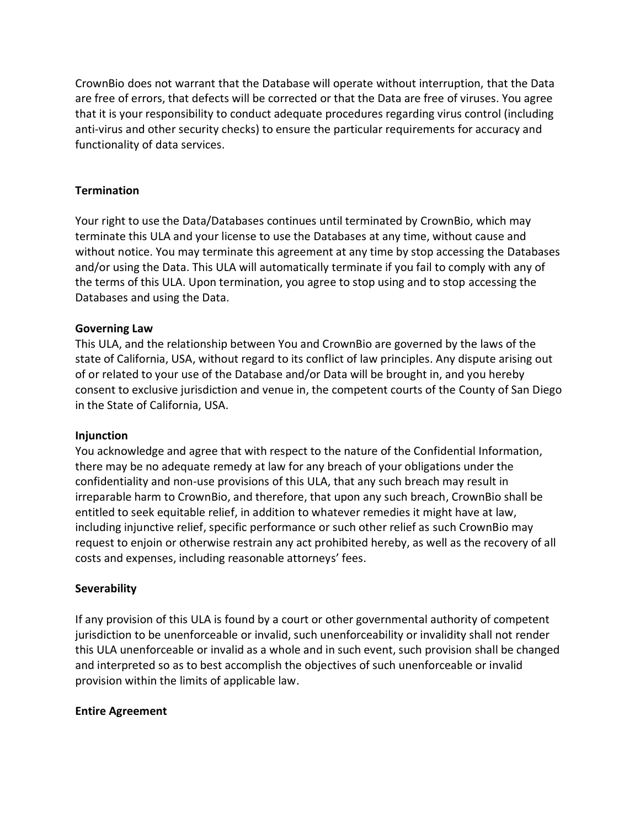CrownBio does not warrant that the Database will operate without interruption, that the Data are free of errors, that defects will be corrected or that the Data are free of viruses. You agree that it is your responsibility to conduct adequate procedures regarding virus control (including anti-virus and other security checks) to ensure the particular requirements for accuracy and functionality of data services.

## **Termination**

Your right to use the Data/Databases continues until terminated by CrownBio, which may terminate this ULA and your license to use the Databases at any time, without cause and without notice. You may terminate this agreement at any time by stop accessing the Databases and/or using the Data. This ULA will automatically terminate if you fail to comply with any of the terms of this ULA. Upon termination, you agree to stop using and to stop accessing the Databases and using the Data.

## **Governing Law**

This ULA, and the relationship between You and CrownBio are governed by the laws of the state of California, USA, without regard to its conflict of law principles. Any dispute arising out of or related to your use of the Database and/or Data will be brought in, and you hereby consent to exclusive jurisdiction and venue in, the competent courts of the County of San Diego in the State of California, USA.

### **Injunction**

You acknowledge and agree that with respect to the nature of the Confidential Information, there may be no adequate remedy at law for any breach of your obligations under the confidentiality and non-use provisions of this ULA, that any such breach may result in irreparable harm to CrownBio, and therefore, that upon any such breach, CrownBio shall be entitled to seek equitable relief, in addition to whatever remedies it might have at law, including injunctive relief, specific performance or such other relief as such CrownBio may request to enjoin or otherwise restrain any act prohibited hereby, as well as the recovery of all costs and expenses, including reasonable attorneys' fees.

### **Severability**

If any provision of this ULA is found by a court or other governmental authority of competent jurisdiction to be unenforceable or invalid, such unenforceability or invalidity shall not render this ULA unenforceable or invalid as a whole and in such event, such provision shall be changed and interpreted so as to best accomplish the objectives of such unenforceable or invalid provision within the limits of applicable law.

### **Entire Agreement**